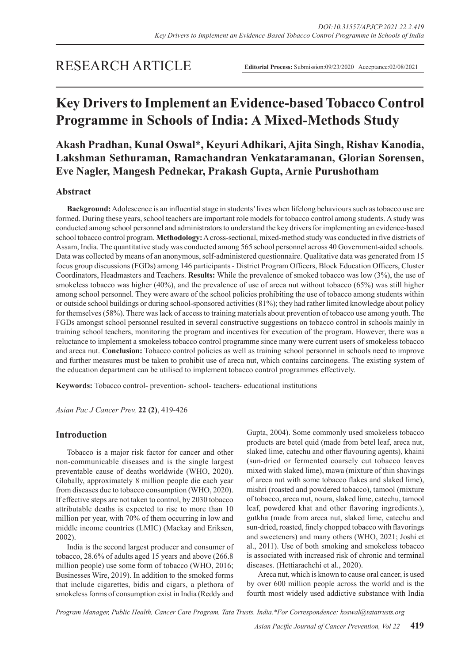## RESEARCH ARTICLE

**Editorial Process:** Submission:09/23/2020 Acceptance:02/08/2021

# **Key Drivers to Implement an Evidence-based Tobacco Control Programme in Schools of India: A Mixed-Methods Study**

## **Akash Pradhan, Kunal Oswal\*, Keyuri Adhikari, Ajita Singh, Rishav Kanodia, Lakshman Sethuraman, Ramachandran Venkataramanan, Glorian Sorensen, Eve Nagler, Mangesh Pednekar, Prakash Gupta, Arnie Purushotham**

### **Abstract**

**Background:** Adolescence is an influential stage in students' lives when lifelong behaviours such as tobacco use are formed. During these years, school teachers are important role models for tobacco control among students. A study was conducted among school personnel and administrators to understand the key drivers for implementing an evidence-based school tobacco control program. **Methodology:** A cross-sectional, mixed-method study was conducted in five districts of Assam, India. The quantitative study was conducted among 565 school personnel across 40 Government-aided schools. Data was collected by means of an anonymous, self-administered questionnaire. Qualitative data was generated from 15 focus group discussions (FGDs) among 146 participants - District Program Officers, Block Education Officers, Cluster Coordinators, Headmasters and Teachers. **Results:** While the prevalence of smoked tobacco was low (3%), the use of smokeless tobacco was higher (40%), and the prevalence of use of areca nut without tobacco (65%) was still higher among school personnel. They were aware of the school policies prohibiting the use of tobacco among students within or outside school buildings or during school-sponsored activities (81%); they had rather limited knowledge about policy for themselves (58%). There was lack of access to training materials about prevention of tobacco use among youth. The FGDs amongst school personnel resulted in several constructive suggestions on tobacco control in schools mainly in training school teachers, monitoring the program and incentives for execution of the program. However, there was a reluctance to implement a smokeless tobacco control programme since many were current users of smokeless tobacco and areca nut. **Conclusion:** Tobacco control policies as well as training school personnel in schools need to improve and further measures must be taken to prohibit use of areca nut, which contains carcinogens. The existing system of the education department can be utilised to implement tobacco control programmes effectively.

**Keywords:** Tobacco control- prevention- school- teachers- educational institutions

*Asian Pac J Cancer Prev,* **22 (2)**, 419-426

#### **Introduction**

Tobacco is a major risk factor for cancer and other non-communicable diseases and is the single largest preventable cause of deaths worldwide (WHO, 2020). Globally, approximately 8 million people die each year from diseases due to tobacco consumption (WHO, 2020). If effective steps are not taken to control, by 2030 tobacco attributable deaths is expected to rise to more than 10 million per year, with 70% of them occurring in low and middle income countries (LMIC) (Mackay and Eriksen, 2002).

India is the second largest producer and consumer of tobacco, 28.6% of adults aged 15 years and above (266.8 million people) use some form of tobacco (WHO, 2016; Businesses Wire, 2019). In addition to the smoked forms that include cigarettes, bidis and cigars, a plethora of smokeless forms of consumption exist in India (Reddy and Gupta, 2004). Some commonly used smokeless tobacco products are betel quid (made from betel leaf, areca nut, slaked lime, catechu and other flavouring agents), khaini (sun-dried or fermented coarsely cut tobacco leaves mixed with slaked lime), mawa (mixture of thin shavings of areca nut with some tobacco flakes and slaked lime), mishri (roasted and powdered tobacco), tamool (mixture of tobacco, areca nut, noura, slaked lime, catechu, tamool leaf, powdered khat and other flavoring ingredients.), gutkha (made from areca nut, slaked lime, catechu and sun-dried, roasted, finely chopped tobacco with flavorings and sweeteners) and many others (WHO, 2021; Joshi et al., 2011). Use of both smoking and smokeless tobacco is associated with increased risk of chronic and terminal diseases. (Hettiarachchi et al., 2020).

Areca nut, which is known to cause oral cancer, is used by over 600 million people across the world and is the fourth most widely used addictive substance with India

*Program Manager, Public Health, Cancer Care Program, Tata Trusts, India.\*For Correspondence: koswal@tatatrusts.org*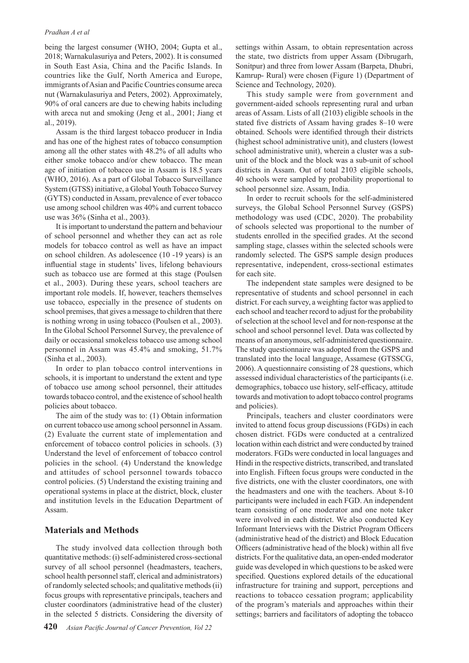#### *Pradhan A et al*

being the largest consumer (WHO, 2004; Gupta et al., 2018; Warnakulasuriya and Peters, 2002). It is consumed in South East Asia, China and the Pacific Islands. In countries like the Gulf, North America and Europe, immigrants of Asian and Pacific Countries consume areca nut (Warnakulasuriya and Peters, 2002). Approximately, 90% of oral cancers are due to chewing habits including with areca nut and smoking (Jeng et al., 2001; Jiang et al., 2019).

Assam is the third largest tobacco producer in India and has one of the highest rates of tobacco consumption among all the other states with 48.2% of all adults who either smoke tobacco and/or chew tobacco. The mean age of initiation of tobacco use in Assam is 18.5 years (WHO, 2016). As a part of Global Tobacco Surveillance System (GTSS) initiative, a Global Youth Tobacco Survey (GYTS) conducted in Assam, prevalence of ever tobacco use among school children was 40% and current tobacco use was 36% (Sinha et al., 2003).

It is important to understand the pattern and behaviour of school personnel and whether they can act as role models for tobacco control as well as have an impact on school children. As adolescence (10 -19 years) is an influential stage in students' lives, lifelong behaviours such as tobacco use are formed at this stage (Poulsen et al., 2003). During these years, school teachers are important role models. If, however, teachers themselves use tobacco, especially in the presence of students on school premises, that gives a message to children that there is nothing wrong in using tobacco (Poulsen et al., 2003). In the Global School Personnel Survey, the prevalence of daily or occasional smokeless tobacco use among school personnel in Assam was 45.4% and smoking, 51.7% (Sinha et al., 2003).

In order to plan tobacco control interventions in schools, it is important to understand the extent and type of tobacco use among school personnel, their attitudes towards tobacco control, and the existence of school health policies about tobacco.

The aim of the study was to: (1) Obtain information on current tobacco use among school personnel in Assam. (2) Evaluate the current state of implementation and enforcement of tobacco control policies in schools. (3) Understand the level of enforcement of tobacco control policies in the school. (4) Understand the knowledge and attitudes of school personnel towards tobacco control policies. (5) Understand the existing training and operational systems in place at the district, block, cluster and institution levels in the Education Department of Assam.

#### **Materials and Methods**

The study involved data collection through both quantitative methods: (i) self-administered cross-sectional survey of all school personnel (headmasters, teachers, school health personnel staff, clerical and administrators) of randomly selected schools; and qualitative methods (ii) focus groups with representative principals, teachers and cluster coordinators (administrative head of the cluster) in the selected 5 districts. Considering the diversity of settings within Assam, to obtain representation across the state, two districts from upper Assam (Dibrugarh, Sonitpur) and three from lower Assam (Barpeta, Dhubri, Kamrup- Rural) were chosen (Figure 1) (Department of Science and Technology, 2020).

This study sample were from government and government-aided schools representing rural and urban areas of Assam. Lists of all (2103) eligible schools in the stated five districts of Assam having grades 8–10 were obtained. Schools were identified through their districts (highest school administrative unit), and clusters (lowest school administrative unit), wherein a cluster was a subunit of the block and the block was a sub-unit of school districts in Assam. Out of total 2103 eligible schools, 40 schools were sampled by probability proportional to school personnel size. Assam, India.

In order to recruit schools for the self-administered surveys, the Global School Personnel Survey (GSPS) methodology was used (CDC, 2020). The probability of schools selected was proportional to the number of students enrolled in the specified grades. At the second sampling stage, classes within the selected schools were randomly selected. The GSPS sample design produces representative, independent, cross-sectional estimates for each site.

The independent state samples were designed to be representative of students and school personnel in each district. For each survey, a weighting factor was applied to each school and teacher record to adjust for the probability of selection at the school level and for non-response at the school and school personnel level. Data was collected by means of an anonymous, self-administered questionnaire. The study questionnaire was adopted from the GSPS and translated into the local language, Assamese (GTSSCG, 2006). A questionnaire consisting of 28 questions, which assessed individual characteristics of the participants (i.e. demographics, tobacco use history, self-efficacy, attitude towards and motivation to adopt tobacco control programs and policies).

Principals, teachers and cluster coordinators were invited to attend focus group discussions (FGDs) in each chosen district. FGDs were conducted at a centralized location within each district and were conducted by trained moderators. FGDs were conducted in local languages and Hindi in the respective districts, transcribed, and translated into English. Fifteen focus groups were conducted in the five districts, one with the cluster coordinators, one with the headmasters and one with the teachers. About 8-10 participants were included in each FGD. An independent team consisting of one moderator and one note taker were involved in each district. We also conducted Key Informant Interviews with the District Program Officers (administrative head of the district) and Block Education Officers (administrative head of the block) within all five districts. For the qualitative data, an open-ended moderator guide was developed in which questions to be asked were specified. Questions explored details of the educational infrastructure for training and support, perceptions and reactions to tobacco cessation program; applicability of the program's materials and approaches within their settings; barriers and facilitators of adopting the tobacco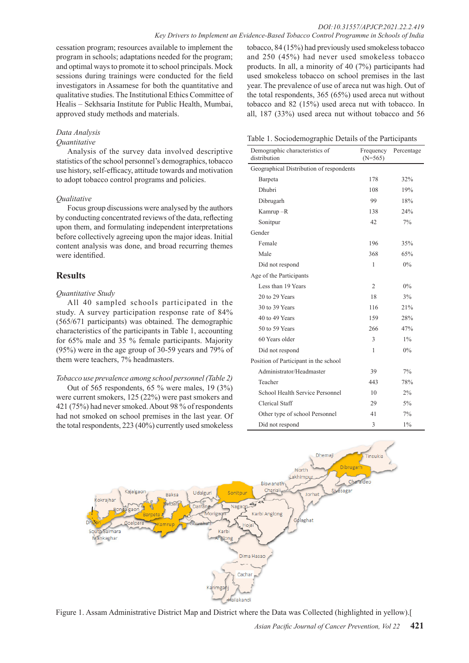cessation program; resources available to implement the program in schools; adaptations needed for the program; and optimal ways to promote it to school principals. Mock sessions during trainings were conducted for the field investigators in Assamese for both the quantitative and qualitative studies. The Institutional Ethics Committee of Healis – Sekhsaria Institute for Public Health, Mumbai, approved study methods and materials.

## *Data Analysis*

## *Quantitative*

Analysis of the survey data involved descriptive statistics of the school personnel's demographics, tobacco use history, self-efficacy, attitude towards and motivation to adopt tobacco control programs and policies.

### *Qualitative*

Focus group discussions were analysed by the authors by conducting concentrated reviews of the data, reflecting upon them, and formulating independent interpretations before collectively agreeing upon the major ideas. Initial content analysis was done, and broad recurring themes were identified.

## **Results**

### *Quantitative Study*

All 40 sampled schools participated in the study. A survey participation response rate of 84% (565/671 participants) was obtained. The demographic characteristics of the participants in Table 1, accounting for 65% male and 35 % female participants. Majority (95%) were in the age group of 30-59 years and 79% of them were teachers, 7% headmasters.

### *Tobacco use prevalence among school personnel (Table 2)*

Out of 565 respondents, 65 % were males, 19 (3%) were current smokers, 125 (22%) were past smokers and 421 (75%) had never smoked. About 98 % of respondents had not smoked on school premises in the last year. Of the total respondents, 223 (40%) currently used smokeless

tobacco, 84 (15%) had previously used smokeless tobacco and 250 (45%) had never used smokeless tobacco products. In all, a minority of 40 (7%) participants had used smokeless tobacco on school premises in the last year. The prevalence of use of areca nut was high. Out of the total respondents, 365 (65%) used areca nut without tobacco and 82 (15%) used areca nut with tobacco. In all, 187 (33%) used areca nut without tobacco and 56

Table 1. Sociodemographic Details of the Participants

| Demographic characteristics of<br>distribution | Frequency<br>$(N=565)$ | Percentage |
|------------------------------------------------|------------------------|------------|
| Geographical Distribution of respondents       |                        |            |
| Barpeta                                        | 178                    | 32%        |
| Dhubri                                         | 108                    | 19%        |
| Dibrugarh                                      | 99                     | 18%        |
| Kamrup-R                                       | 138                    | 24%        |
| Sonitpur                                       | 42                     | 7%         |
| Gender                                         |                        |            |
| Female                                         | 196                    | 35%        |
| Male                                           | 368                    | 65%        |
| Did not respond                                | 1                      | $0\%$      |
| Age of the Participants                        |                        |            |
| Less than 19 Years                             | $\overline{2}$         | $0\%$      |
| 20 to 29 Years                                 | 18                     | 3%         |
| 30 to 39 Years                                 | 116                    | 21%        |
| 40 to 49 Years                                 | 159                    | 28%        |
| 50 to 59 Years                                 | 266                    | 47%        |
| 60 Years older                                 | 3                      | $1\%$      |
| Did not respond                                | 1                      | $0\%$      |
| Position of Participant in the school          |                        |            |
| Administrator/Headmaster                       | 39                     | 7%         |
| Teacher                                        | 443                    | 78%        |
| School Health Service Personnel                | 10                     | 2%         |
| Clerical Staff                                 | 29                     | $5\%$      |
| Other type of school Personnel                 | 41                     | 7%         |
| Did not respond                                | 3                      | $1\%$      |



Figure 1. Assam Administrative District Map and District where the Data was Collected (highlighted in yellow).[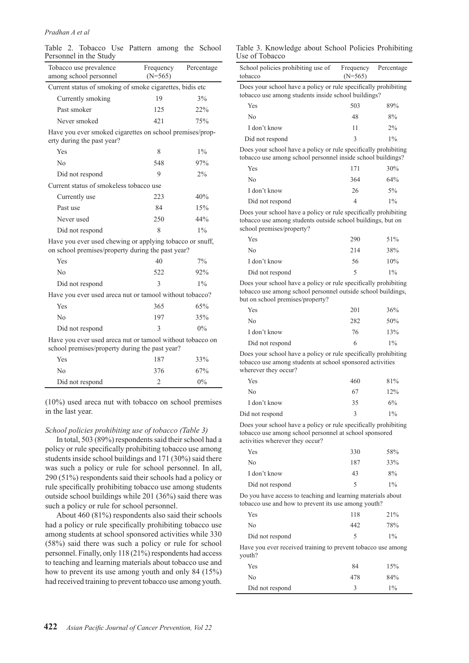#### *Pradhan A et al*

|  | Table 2. Tobacco Use Pattern among the School |  |  |  |
|--|-----------------------------------------------|--|--|--|
|  | Personnel in the Study                        |  |  |  |

| Tobacco use prevalence<br>among school personnel                                                              | Frequency<br>$(N=565)$ | Percentage |  |  |
|---------------------------------------------------------------------------------------------------------------|------------------------|------------|--|--|
| Current status of smoking of smoke cigarettes, bidis etc                                                      |                        |            |  |  |
| Currently smoking                                                                                             | 19                     | 3%         |  |  |
| Past smoker                                                                                                   | 125                    | 22%        |  |  |
| Never smoked                                                                                                  | 421                    | 75%        |  |  |
| Have you ever smoked cigarettes on school premises/prop-<br>erty during the past year?                        |                        |            |  |  |
| Yes                                                                                                           | 8                      | $1\%$      |  |  |
| No                                                                                                            | 548                    | 97%        |  |  |
| Did not respond                                                                                               | 9                      | 2%         |  |  |
| Current status of smokeless tobacco use                                                                       |                        |            |  |  |
| Currently use                                                                                                 | 223                    | 40%        |  |  |
| Past use                                                                                                      | 84                     | 15%        |  |  |
| Never used                                                                                                    | 250                    | 44%        |  |  |
| Did not respond                                                                                               | 8                      | $1\%$      |  |  |
| Have you ever used chewing or applying tobacco or snuff,<br>on school premises/property during the past year? |                        |            |  |  |
| Yes                                                                                                           | 40                     | 7%         |  |  |
| No                                                                                                            | 522                    | 92%        |  |  |
| Did not respond                                                                                               | 3                      | $1\%$      |  |  |
| Have you ever used areca nut or tamool without tobacco?                                                       |                        |            |  |  |
| Yes                                                                                                           | 365                    | 65%        |  |  |
| No                                                                                                            | 197                    | 35%        |  |  |
| Did not respond                                                                                               | $\mathcal{E}$          | 0%         |  |  |
| Have you ever used areca nut or tamool without tobacco on                                                     |                        |            |  |  |

Have you ever used areca nut or tamool without tobacco on school premises/property during the past year?

| No              | 376 | 67%   |
|-----------------|-----|-------|
| Did not respond |     | $0\%$ |

(10%) used areca nut with tobacco on school premises in the last year.

#### *School policies prohibiting use of tobacco (Table 3)*

In total, 503 (89%) respondents said their school had a policy or rule specifically prohibiting tobacco use among students inside school buildings and 171 (30%) said there was such a policy or rule for school personnel. In all, 290 (51%) respondents said their schools had a policy or rule specifically prohibiting tobacco use among students outside school buildings while 201 (36%) said there was such a policy or rule for school personnel.

About 460 (81%) respondents also said their schools had a policy or rule specifically prohibiting tobacco use among students at school sponsored activities while 330 (58%) said there was such a policy or rule for school personnel. Finally, only 118 (21%) respondents had access to teaching and learning materials about tobacco use and how to prevent its use among youth and only 84 (15%) had received training to prevent tobacco use among youth.

Table 3. Knowledge about School Policies Prohibiting Use of Tobacco

| School policies prohibiting use of<br>tobacco                                                                                  | Frequency<br>$(N=565)$ | Percentage |  |
|--------------------------------------------------------------------------------------------------------------------------------|------------------------|------------|--|
| Does your school have a policy or rule specifically prohibiting<br>tobacco use among students inside school buildings?         |                        |            |  |
| Yes                                                                                                                            | 503                    | 89%        |  |
| No                                                                                                                             | 48                     | 8%         |  |
| I don't know                                                                                                                   | 11                     | $2\%$      |  |
| Did not respond                                                                                                                | 3                      | $1\%$      |  |
| Does your school have a policy or rule specifically prohibiting<br>tobacco use among school personnel inside school buildings? |                        |            |  |
| Yes                                                                                                                            | 171                    | 30%        |  |
| No                                                                                                                             | 364                    | 64%        |  |
| I don't know                                                                                                                   | 26                     | $5\%$      |  |
| Did not respond                                                                                                                | $\overline{4}$         | $1\%$      |  |
| Does your school have a policy or rule specifically prohibiting<br>tobacco use among students outside school buildings, but on |                        |            |  |

school premises/property? Yes 290 51% No 214 38%

| I don't know                                                    | 56 | 10%   |
|-----------------------------------------------------------------|----|-------|
| Did not respond                                                 |    | $1\%$ |
| Does your school have a policy or rule specifically prohibiting |    |       |

tobacco use among school personnel outside school buildings, but on school premises/property?

| Yes             | 201 | 36%   |
|-----------------|-----|-------|
| No              | 282 | 50%   |
| I don't know    | 76  | 13%   |
| Did not respond | h   | $1\%$ |

Does your school have a policy or rule specifically prohibiting tobacco use among students at school sponsored activities wherever they occur?

| Yes             | 460 | 81%   |
|-----------------|-----|-------|
| No              | 67  | 12%   |
| I don't know    | 35  | 6%    |
| Did not respond | κ   | $1\%$ |

Does your school have a policy or rule specifically prohibiting tobacco use among school personnel at school sponsored activities wherever they occur?

| Yes             | 330 | 58%   |
|-----------------|-----|-------|
| No              | 187 | 33%   |
| I don't know    | 43  | 8%    |
| Did not respond | ↖   | $1\%$ |

Do you have access to teaching and learning materials about tobacco use and how to prevent its use among youth?

| Yes             | 118 | 21%   |
|-----------------|-----|-------|
| No              | 442 | 78%   |
| Did not respond |     | $1\%$ |
|                 |     |       |

Have you ever received training to prevent tobacco use among youth?

| Yes             | 84  | 15%   |
|-----------------|-----|-------|
| No              | 478 | 84%   |
| Did not respond |     | $1\%$ |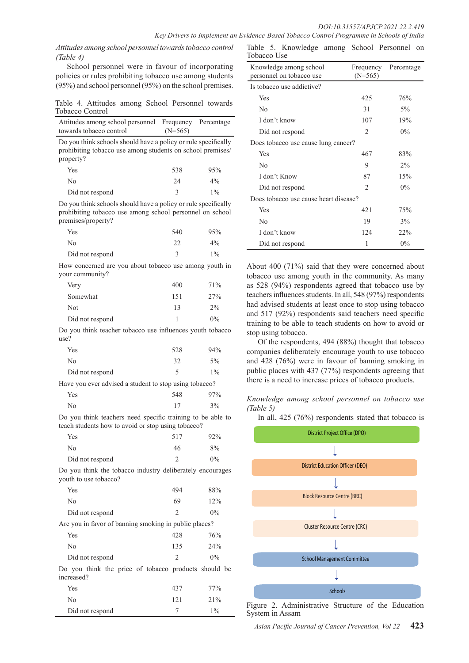*Key Drivers to Implement an Evidence-Based Tobacco Control Programme in Schools of India*

*Attitudes among school personnel towards tobacco control (Table 4)*

School personnel were in favour of incorporating policies or rules prohibiting tobacco use among students (95%) and school personnel (95%) on the school premises.

Table 4. Attitudes among School Personnel towards Tobacco Control

| Attitudes among school personnel Frequency<br>towards tobacco control                                                                     | $(N=565)$ | Percentage |
|-------------------------------------------------------------------------------------------------------------------------------------------|-----------|------------|
| Do you think schools should have a policy or rule specifically<br>prohibiting tobacco use among students on school premises/<br>property? |           |            |
| Yes                                                                                                                                       | 538       | 95%        |
| N <sub>0</sub>                                                                                                                            | 24        | $4\%$      |
| Did not respond                                                                                                                           | 3         | $1\%$      |
| .                                                                                                                                         |           |            |

Do you think schools should have a policy or rule specifically prohibiting tobacco use among school personnel on school premises/property?

| Yes             | 540 | 95%   |
|-----------------|-----|-------|
| No              | າາ  | $4\%$ |
| Did not respond |     | $1\%$ |

How concerned are you about tobacco use among youth in your community?

| Very            | 400 | 71%   |
|-----------------|-----|-------|
| Somewhat        | 151 | 27%   |
| Not             | 13  | $2\%$ |
| Did not respond |     | $0\%$ |

Do you think teacher tobacco use influences youth tobacco use?

| Yes             | 528 | 94%   |
|-----------------|-----|-------|
| No              | 32  | $5\%$ |
| Did not respond |     | $1\%$ |

Have you ever advised a student to stop using tobacco?

|     | <u>.</u> |     |
|-----|----------|-----|
| Yes | 548      | 97% |
| No  | 17       | 3%  |

Do you think teachers need specific training to be able to teach students how to avoid or stop using tobacco?

| Yes             | 517 | 92%   |
|-----------------|-----|-------|
| No              | 46  | 8%    |
| Did not respond |     | $0\%$ |

Do you think the tobacco industry deliberately encourages youth to use tobacco?

| Yes             | 494 | 88%   |
|-----------------|-----|-------|
| No              | 69  | 12%   |
| Did not respond |     | $0\%$ |

Are you in favor of banning smoking in public places?

| Yes                                                  | 42.8          | 76%   |
|------------------------------------------------------|---------------|-------|
| No                                                   | 135           | 24%   |
| Did not respond                                      | $\mathcal{D}$ | $0\%$ |
| Do you think the price of tobacco products should be |               |       |

increased?

| Yes             | 437 | 77%   |
|-----------------|-----|-------|
| No              | 121 | 21%   |
| Did not respond |     | $1\%$ |

Table 5. Knowledge among School Personnel on Tobacco Use

| wuww Osc                                           |                        |            |  |
|----------------------------------------------------|------------------------|------------|--|
| Knowledge among school<br>personnel on tobacco use | Frequency<br>$(N=565)$ | Percentage |  |
| Is tobacco use addictive?                          |                        |            |  |
| Yes                                                | 425                    | 76%        |  |
| No                                                 | 31                     | $5\%$      |  |
| I don't know                                       | 107                    | 19%        |  |
| Did not respond                                    | 2                      | $0\%$      |  |
| Does tobacco use cause lung cancer?                |                        |            |  |
| Yes                                                | 467                    | 83%        |  |
| N <sub>0</sub>                                     | 9                      | $2\%$      |  |
| I don't Know                                       | 87                     | 15%        |  |
| Did not respond                                    | $\mathfrak{D}$         | $0\%$      |  |
| Does tobacco use cause heart disease?              |                        |            |  |
| Yes                                                | 421                    | 75%        |  |
| No                                                 | 19                     | 3%         |  |
| I don't know                                       | 124                    | 22%        |  |
| Did not respond                                    | 1                      | $0\%$      |  |

About 400 (71%) said that they were concerned about tobacco use among youth in the community. As many as 528 (94%) respondents agreed that tobacco use by teachers influences students. In all, 548 (97%) respondents had advised students at least once to stop using tobacco and 517 (92%) respondents said teachers need specific training to be able to teach students on how to avoid or stop using tobacco.

Of the respondents, 494 (88%) thought that tobacco companies deliberately encourage youth to use tobacco and 428 (76%) were in favour of banning smoking in public places with 437 (77%) respondents agreeing that there is a need to increase prices of tobacco products.

*Knowledge among school personnel on tobacco use (Table 5)*

In all, 425 (76%) respondents stated that tobacco is



Figure 2. Administrative Structure of the Education System in Assam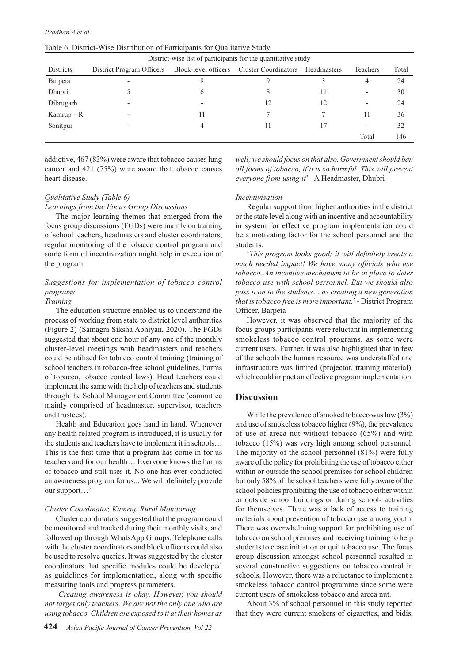| Table 6. District-Wise Distribution of Participants for Qualitative Study |  |  |  |
|---------------------------------------------------------------------------|--|--|--|
|---------------------------------------------------------------------------|--|--|--|

| District-wise list of participants for the quantitative study |                           |                      |                             |             |                          |       |
|---------------------------------------------------------------|---------------------------|----------------------|-----------------------------|-------------|--------------------------|-------|
| <b>Districts</b>                                              | District Program Officers | Block-level officers | <b>Cluster Coordinators</b> | Headmasters | Teachers                 | Total |
| Barpeta                                                       |                           |                      |                             |             | 4                        | 24    |
| Dhubri                                                        |                           | <sub>0</sub>         | 8                           | 11          | $\overline{\phantom{a}}$ | 30    |
| Dibrugarh                                                     | $\overline{\phantom{0}}$  |                      | 12                          | 12          | $\overline{\phantom{0}}$ | 24    |
| $Kamrup - R$                                                  |                           |                      |                             |             | 11                       | 36    |
| Sonitpur                                                      |                           |                      |                             |             | $\overline{\phantom{0}}$ | 32    |
|                                                               |                           |                      |                             |             | Total                    | 146   |

addictive, 467 (83%) were aware that tobacco causes lung cancer and 421 (75%) were aware that tobacco causes heart disease.

*Qualitative Study (Table 6)*

*Learnings from the Focus Group Discussions*

The major learning themes that emerged from the focus group discussions (FGDs) were mainly on training of school teachers, headmasters and cluster coordinators, regular monitoring of the tobacco control program and some form of incentivization might help in execution of the program.

## *Suggestions for implementation of tobacco control programs*

#### *Training*

The education structure enabled us to understand the process of working from state to district level authorities (Figure 2) (Samagra Siksha Abhiyan, 2020). The FGDs suggested that about one hour of any one of the monthly cluster-level meetings with headmasters and teachers could be utilised for tobacco control training (training of school teachers in tobacco-free school guidelines, harms of tobacco, tobacco control laws). Head teachers could implement the same with the help of teachers and students through the School Management Committee (committee mainly comprised of headmaster, supervisor, teachers and trustees).

Health and Education goes hand in hand. Whenever any health related program is introduced, it is usually for the students and teachers have to implement it in schools… This is the first time that a program has come in for us teachers and for our health… Everyone knows the harms of tobacco and still uses it. No one has ever conducted an awareness program for us... We will definitely provide our support…'

#### *Cluster Coordinator, Kamrup Rural Monitoring*

Cluster coordinators suggested that the program could be monitored and tracked during their monthly visits, and followed up through WhatsApp Groups. Telephone calls with the cluster coordinators and block officers could also be used to resolve queries. It was suggested by the cluster coordinators that specific modules could be developed as guidelines for implementation, along with specific measuring tools and progress parameters.

'*Creating awareness is okay. However, you should not target only teachers. We are not the only one who are using tobacco. Children are exposed to it at their homes as* 

*well; we should focus on that also. Government should ban all forms of tobacco, if it is so harmful. This will prevent everyone from using it*' - A Headmaster, Dhubri

#### *Incentivisation*

Regular support from higher authorities in the district or the state level along with an incentive and accountability in system for effective program implementation could be a motivating factor for the school personnel and the students.

'*This program looks good; it will definitely create a much needed impact! We have many officials who use tobacco. An incentive mechanism to be in place to deter tobacco use with school personnel. But we should also pass it on to the students… as creating a new generation that is tobacco free is more important.*' - District Program Officer, Barpeta

However, it was observed that the majority of the focus groups participants were reluctant in implementing smokeless tobacco control programs, as some were current users. Further, it was also highlighted that in few of the schools the human resource was understaffed and infrastructure was limited (projector, training material), which could impact an effective program implementation.

#### **Discussion**

While the prevalence of smoked tobacco was low  $(3\%)$ and use of smokeless tobacco higher (9%), the prevalence of use of areca nut without tobacco (65%) and with tobacco (15%) was very high among school personnel. The majority of the school personnel (81%) were fully aware of the policy for prohibiting the use of tobacco either within or outside the school premises for school children but only 58% of the school teachers were fully aware of the school policies prohibiting the use of tobacco either within or outside school buildings or during school- activities for themselves. There was a lack of access to training materials about prevention of tobacco use among youth. There was overwhelming support for prohibiting use of tobacco on school premises and receiving training to help students to cease initiation or quit tobacco use. The focus group discussion amongst school personnel resulted in several constructive suggestions on tobacco control in schools. However, there was a reluctance to implement a smokeless tobacco control programme since some were current users of smokeless tobacco and areca nut.

About 3% of school personnel in this study reported that they were current smokers of cigarettes, and bidis,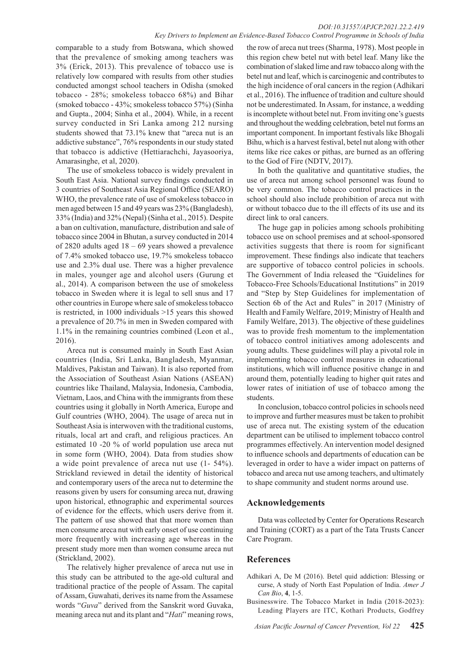#### *DOI:10.31557/APJCP.2021.22.2.419 Key Drivers to Implement an Evidence-Based Tobacco Control Programme in Schools of India*

comparable to a study from Botswana, which showed that the prevalence of smoking among teachers was 3% (Erick, 2013). This prevalence of tobacco use is relatively low compared with results from other studies conducted amongst school teachers in Odisha (smoked tobacco - 28%; smokeless tobacco 68%) and Bihar (smoked tobacco - 43%; smokeless tobacco 57%) (Sinha and Gupta., 2004; Sinha et al., 2004). While, in a recent survey conducted in Sri Lanka among 212 nursing students showed that 73.1% knew that "areca nut is an addictive substance", 76% respondents in our study stated that tobacco is addictive (Hettiarachchi, Jayasooriya, Amarasinghe, et al, 2020).

The use of smokeless tobacco is widely prevalent in South East Asia. National survey findings conducted in 3 countries of Southeast Asia Regional Office (SEARO) WHO, the prevalence rate of use of smokeless tobacco in men aged between 15 and 49 years was 23% (Bangladesh), 33% (India) and 32% (Nepal) (Sinha et al., 2015). Despite a ban on cultivation, manufacture, distribution and sale of tobacco since 2004 in Bhutan, a survey conducted in 2014 of 2820 adults aged 18 – 69 years showed a prevalence of 7.4% smoked tobacco use, 19.7% smokeless tobacco use and 2.3% dual use. There was a higher prevalence in males, younger age and alcohol users (Gurung et al., 2014). A comparison between the use of smokeless tobacco in Sweden where it is legal to sell snus and 17 other countries in Europe where sale of smokeless tobacco is restricted, in 1000 individuals >15 years this showed a prevalence of 20.7% in men in Sweden compared with 1.1% in the remaining countries combined (Leon et al., 2016).

Areca nut is consumed mainly in South East Asian countries (India, Sri Lanka, Bangladesh, Myanmar, Maldives, Pakistan and Taiwan). It is also reported from the Association of Southeast Asian Nations (ASEAN) countries like Thailand, Malaysia, Indonesia, Cambodia, Vietnam, Laos, and China with the immigrants from these countries using it globally in North America, Europe and Gulf countries (WHO, 2004). The usage of areca nut in Southeast Asia is interwoven with the traditional customs, rituals, local art and craft, and religious practices. An estimated 10 -20 % of world population use areca nut in some form (WHO, 2004). Data from studies show a wide point prevalence of areca nut use (1- 54%). Strickland reviewed in detail the identity of historical and contemporary users of the areca nut to determine the reasons given by users for consuming areca nut, drawing upon historical, ethnographic and experimental sources of evidence for the effects, which users derive from it. The pattern of use showed that that more women than men consume areca nut with early onset of use continuing more frequently with increasing age whereas in the present study more men than women consume areca nut (Strickland, 2002).

The relatively higher prevalence of areca nut use in this study can be attributed to the age-old cultural and traditional practice of the people of Assam. The capital of Assam, Guwahati, derives its name from the Assamese words "*Guva*" derived from the Sanskrit word Guvaka, meaning areca nut and its plant and "*Hati*" meaning rows,

the row of areca nut trees (Sharma, 1978). Most people in this region chew betel nut with betel leaf. Many like the combination of slaked lime and raw tobacco along with the betel nut and leaf, which is carcinogenic and contributes to the high incidence of oral cancers in the region (Adhikari et al., 2016). The influence of tradition and culture should not be underestimated. In Assam, for instance, a wedding is incomplete without betel nut. From inviting one's guests and throughout the wedding celebration, betel nut forms an important component. In important festivals like Bhogali Bihu, which is a harvest festival, betel nut along with other items like rice cakes or pithas, are burned as an offering to the God of Fire (NDTV, 2017).

In both the qualitative and quantitative studies, the use of areca nut among school personnel was found to be very common. The tobacco control practices in the school should also include prohibition of areca nut with or without tobacco due to the ill effects of its use and its direct link to oral cancers.

The huge gap in policies among schools prohibiting tobacco use on school premises and at school-sponsored activities suggests that there is room for significant improvement. These findings also indicate that teachers are supportive of tobacco control policies in schools. The Government of India released the "Guidelines for Tobacco-Free Schools/Educational Institutions" in 2019 and "Step by Step Guidelines for implementation of Section 6b of the Act and Rules" in 2017 (Ministry of Health and Family Welfare, 2019; Ministry of Health and Family Welfare, 2013). The objective of these guidelines was to provide fresh momentum to the implementation of tobacco control initiatives among adolescents and young adults. These guidelines will play a pivotal role in implementing tobacco control measures in educational institutions, which will influence positive change in and around them, potentially leading to higher quit rates and lower rates of initiation of use of tobacco among the students.

In conclusion, tobacco control policies in schools need to improve and further measures must be taken to prohibit use of areca nut. The existing system of the education department can be utilised to implement tobacco control programmes effectively. An intervention model designed to influence schools and departments of education can be leveraged in order to have a wider impact on patterns of tobacco and areca nut use among teachers, and ultimately to shape community and student norms around use.

### **Acknowledgements**

Data was collected by Center for Operations Research and Training (CORT) as a part of the Tata Trusts Cancer Care Program.

## **References**

- Adhikari A, De M (2016). Betel quid addiction: Blessing or curse, A study of North East Population of India. *Amer J Can Bio*, **4**, 1-5.
- Businesswire. The Tobacco Market in India (2018-2023): Leading Players are ITC, Kothari Products, Godfrey